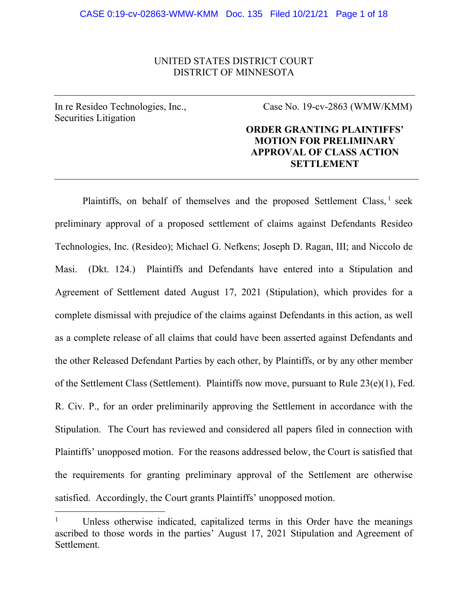## UNITED STATES DISTRICT COURT DISTRICT OF MINNESOTA

In re Resideo Technologies, Inc., Securities Litigation

Case No. 19-cv-2863 (WMW/KMM)

# **ORDER GRANTING PLAINTIFFS' MOTION FOR PRELIMINARY APPROVAL OF CLASS ACTION SETTLEMENT**

Plaintiffs, on behalf of themselves and the proposed Settlement Class,  $\frac{1}{1}$  seek preliminary approval of a proposed settlement of claims against Defendants Resideo Technologies, Inc. (Resideo); Michael G. Nefkens; Joseph D. Ragan, III; and Niccolo de Masi. (Dkt. 124.) Plaintiffs and Defendants have entered into a Stipulation and Agreement of Settlement dated August 17, 2021 (Stipulation), which provides for a complete dismissal with prejudice of the claims against Defendants in this action, as well as a complete release of all claims that could have been asserted against Defendants and the other Released Defendant Parties by each other, by Plaintiffs, or by any other member of the Settlement Class (Settlement). Plaintiffs now move, pursuant to Rule 23(e)(1), Fed. R. Civ. P., for an order preliminarily approving the Settlement in accordance with the Stipulation. The Court has reviewed and considered all papers filed in connection with Plaintiffs' unopposed motion. For the reasons addressed below, the Court is satisfied that the requirements for granting preliminary approval of the Settlement are otherwise satisfied. Accordingly, the Court grants Plaintiffs' unopposed motion.

<sup>1</sup> Unless otherwise indicated, capitalized terms in this Order have the meanings ascribed to those words in the parties' August 17, 2021 Stipulation and Agreement of Settlement.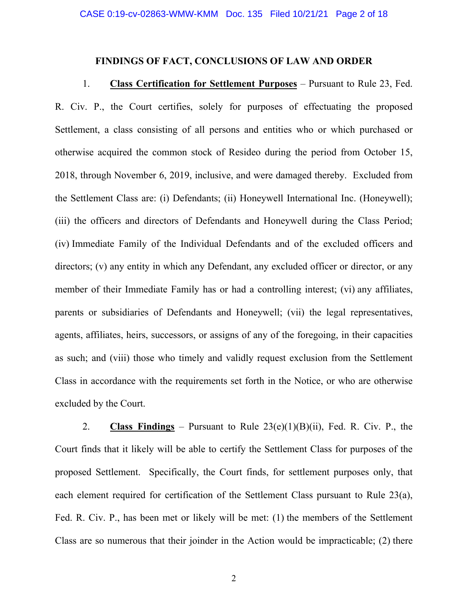### **FINDINGS OF FACT, CONCLUSIONS OF LAW AND ORDER**

1. **Class Certification for Settlement Purposes** – Pursuant to Rule 23, Fed. R. Civ. P., the Court certifies, solely for purposes of effectuating the proposed Settlement, a class consisting of all persons and entities who or which purchased or otherwise acquired the common stock of Resideo during the period from October 15, 2018, through November 6, 2019, inclusive, and were damaged thereby. Excluded from the Settlement Class are: (i) Defendants; (ii) Honeywell International Inc. (Honeywell); (iii) the officers and directors of Defendants and Honeywell during the Class Period; (iv) Immediate Family of the Individual Defendants and of the excluded officers and directors; (v) any entity in which any Defendant, any excluded officer or director, or any member of their Immediate Family has or had a controlling interest; (vi) any affiliates, parents or subsidiaries of Defendants and Honeywell; (vii) the legal representatives, agents, affiliates, heirs, successors, or assigns of any of the foregoing, in their capacities as such; and (viii) those who timely and validly request exclusion from the Settlement Class in accordance with the requirements set forth in the Notice, or who are otherwise excluded by the Court.

2. **Class Findings** – Pursuant to Rule 23(e)(1)(B)(ii), Fed. R. Civ. P., the Court finds that it likely will be able to certify the Settlement Class for purposes of the proposed Settlement. Specifically, the Court finds, for settlement purposes only, that each element required for certification of the Settlement Class pursuant to Rule 23(a), Fed. R. Civ. P., has been met or likely will be met: (1) the members of the Settlement Class are so numerous that their joinder in the Action would be impracticable; (2) there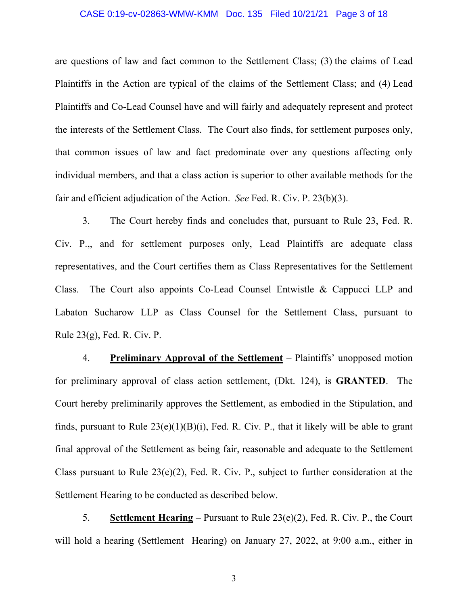#### CASE 0:19-cv-02863-WMW-KMM Doc. 135 Filed 10/21/21 Page 3 of 18

are questions of law and fact common to the Settlement Class; (3) the claims of Lead Plaintiffs in the Action are typical of the claims of the Settlement Class; and (4) Lead Plaintiffs and Co-Lead Counsel have and will fairly and adequately represent and protect the interests of the Settlement Class. The Court also finds, for settlement purposes only, that common issues of law and fact predominate over any questions affecting only individual members, and that a class action is superior to other available methods for the fair and efficient adjudication of the Action. *See* Fed. R. Civ. P. 23(b)(3).

3. The Court hereby finds and concludes that, pursuant to Rule 23, Fed. R. Civ. P.,, and for settlement purposes only, Lead Plaintiffs are adequate class representatives, and the Court certifies them as Class Representatives for the Settlement Class. The Court also appoints Co-Lead Counsel Entwistle & Cappucci LLP and Labaton Sucharow LLP as Class Counsel for the Settlement Class, pursuant to Rule 23(g), Fed. R. Civ. P.

4. **Preliminary Approval of the Settlement** – Plaintiffs' unopposed motion for preliminary approval of class action settlement, (Dkt. 124), is **GRANTED**. The Court hereby preliminarily approves the Settlement, as embodied in the Stipulation, and finds, pursuant to Rule  $23(e)(1)(B)(i)$ , Fed. R. Civ. P., that it likely will be able to grant final approval of the Settlement as being fair, reasonable and adequate to the Settlement Class pursuant to Rule 23(e)(2), Fed. R. Civ. P., subject to further consideration at the Settlement Hearing to be conducted as described below.

5. **Settlement Hearing** – Pursuant to Rule 23(e)(2), Fed. R. Civ. P., the Court will hold a hearing (Settlement Hearing) on January 27, 2022, at 9:00 a.m., either in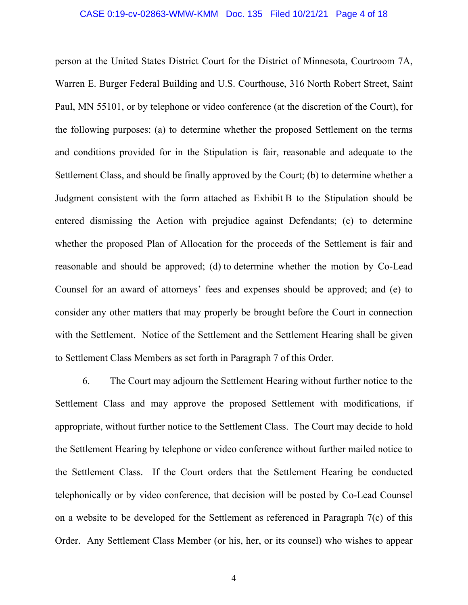person at the United States District Court for the District of Minnesota, Courtroom 7A, Warren E. Burger Federal Building and U.S. Courthouse, 316 North Robert Street, Saint Paul, MN 55101, or by telephone or video conference (at the discretion of the Court), for the following purposes: (a) to determine whether the proposed Settlement on the terms and conditions provided for in the Stipulation is fair, reasonable and adequate to the Settlement Class, and should be finally approved by the Court; (b) to determine whether a Judgment consistent with the form attached as Exhibit B to the Stipulation should be entered dismissing the Action with prejudice against Defendants; (c) to determine whether the proposed Plan of Allocation for the proceeds of the Settlement is fair and reasonable and should be approved; (d) to determine whether the motion by Co-Lead Counsel for an award of attorneys' fees and expenses should be approved; and (e) to consider any other matters that may properly be brought before the Court in connection with the Settlement. Notice of the Settlement and the Settlement Hearing shall be given to Settlement Class Members as set forth in Paragraph 7 of this Order.

6. The Court may adjourn the Settlement Hearing without further notice to the Settlement Class and may approve the proposed Settlement with modifications, if appropriate, without further notice to the Settlement Class. The Court may decide to hold the Settlement Hearing by telephone or video conference without further mailed notice to the Settlement Class. If the Court orders that the Settlement Hearing be conducted telephonically or by video conference, that decision will be posted by Co-Lead Counsel on a website to be developed for the Settlement as referenced in Paragraph 7(c) of this Order. Any Settlement Class Member (or his, her, or its counsel) who wishes to appear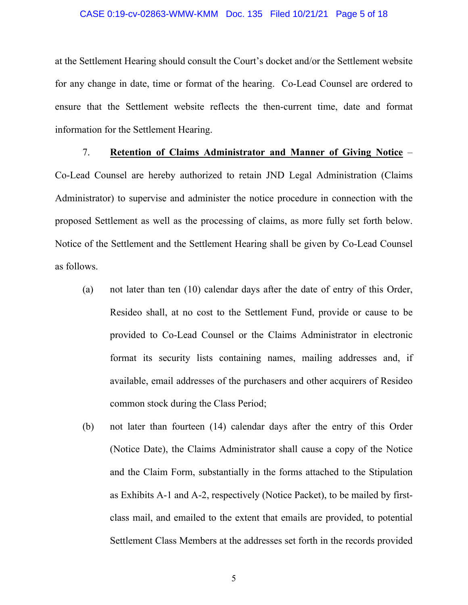#### CASE 0:19-cv-02863-WMW-KMM Doc. 135 Filed 10/21/21 Page 5 of 18

at the Settlement Hearing should consult the Court's docket and/or the Settlement website for any change in date, time or format of the hearing. Co-Lead Counsel are ordered to ensure that the Settlement website reflects the then-current time, date and format information for the Settlement Hearing.

7. **Retention of Claims Administrator and Manner of Giving Notice** – Co-Lead Counsel are hereby authorized to retain JND Legal Administration (Claims Administrator) to supervise and administer the notice procedure in connection with the proposed Settlement as well as the processing of claims, as more fully set forth below. Notice of the Settlement and the Settlement Hearing shall be given by Co-Lead Counsel as follows.

- (a) not later than ten (10) calendar days after the date of entry of this Order, Resideo shall, at no cost to the Settlement Fund, provide or cause to be provided to Co-Lead Counsel or the Claims Administrator in electronic format its security lists containing names, mailing addresses and, if available, email addresses of the purchasers and other acquirers of Resideo common stock during the Class Period;
- (b) not later than fourteen (14) calendar days after the entry of this Order (Notice Date), the Claims Administrator shall cause a copy of the Notice and the Claim Form, substantially in the forms attached to the Stipulation as Exhibits A-1 and A-2, respectively (Notice Packet), to be mailed by firstclass mail, and emailed to the extent that emails are provided, to potential Settlement Class Members at the addresses set forth in the records provided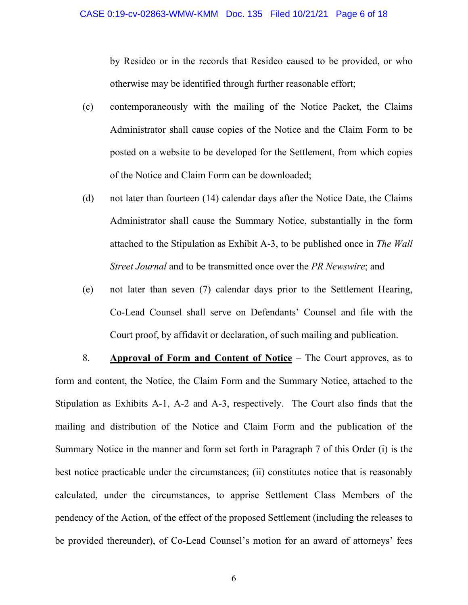by Resideo or in the records that Resideo caused to be provided, or who otherwise may be identified through further reasonable effort;

- (c) contemporaneously with the mailing of the Notice Packet, the Claims Administrator shall cause copies of the Notice and the Claim Form to be posted on a website to be developed for the Settlement, from which copies of the Notice and Claim Form can be downloaded;
- (d) not later than fourteen (14) calendar days after the Notice Date, the Claims Administrator shall cause the Summary Notice, substantially in the form attached to the Stipulation as Exhibit A-3, to be published once in *The Wall Street Journal* and to be transmitted once over the *PR Newswire*; and
- (e) not later than seven (7) calendar days prior to the Settlement Hearing, Co-Lead Counsel shall serve on Defendants' Counsel and file with the Court proof, by affidavit or declaration, of such mailing and publication.

8. **Approval of Form and Content of Notice** – The Court approves, as to form and content, the Notice, the Claim Form and the Summary Notice, attached to the Stipulation as Exhibits A-1, A-2 and A-3, respectively. The Court also finds that the mailing and distribution of the Notice and Claim Form and the publication of the Summary Notice in the manner and form set forth in Paragraph 7 of this Order (i) is the best notice practicable under the circumstances; (ii) constitutes notice that is reasonably calculated, under the circumstances, to apprise Settlement Class Members of the pendency of the Action, of the effect of the proposed Settlement (including the releases to be provided thereunder), of Co-Lead Counsel's motion for an award of attorneys' fees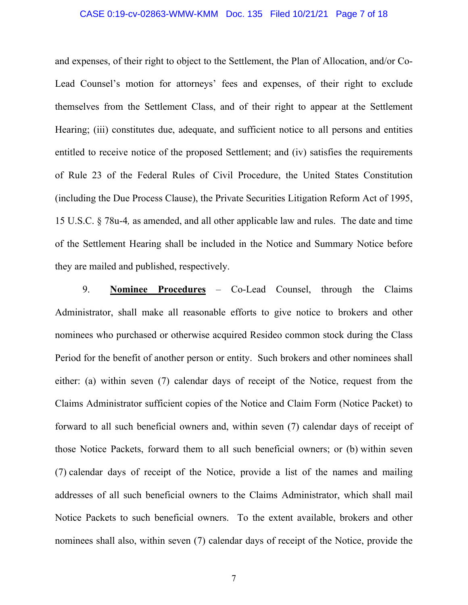#### CASE 0:19-cv-02863-WMW-KMM Doc. 135 Filed 10/21/21 Page 7 of 18

and expenses, of their right to object to the Settlement, the Plan of Allocation, and/or Co-Lead Counsel's motion for attorneys' fees and expenses, of their right to exclude themselves from the Settlement Class, and of their right to appear at the Settlement Hearing; (iii) constitutes due, adequate, and sufficient notice to all persons and entities entitled to receive notice of the proposed Settlement; and (iv) satisfies the requirements of Rule 23 of the Federal Rules of Civil Procedure, the United States Constitution (including the Due Process Clause), the Private Securities Litigation Reform Act of 1995, 15 U.S.C. § 78u-4*,* as amended, and all other applicable law and rules. The date and time of the Settlement Hearing shall be included in the Notice and Summary Notice before they are mailed and published, respectively.

9. **Nominee Procedures** – Co-Lead Counsel, through the Claims Administrator, shall make all reasonable efforts to give notice to brokers and other nominees who purchased or otherwise acquired Resideo common stock during the Class Period for the benefit of another person or entity. Such brokers and other nominees shall either: (a) within seven (7) calendar days of receipt of the Notice, request from the Claims Administrator sufficient copies of the Notice and Claim Form (Notice Packet) to forward to all such beneficial owners and, within seven (7) calendar days of receipt of those Notice Packets, forward them to all such beneficial owners; or (b) within seven (7) calendar days of receipt of the Notice, provide a list of the names and mailing addresses of all such beneficial owners to the Claims Administrator, which shall mail Notice Packets to such beneficial owners. To the extent available, brokers and other nominees shall also, within seven (7) calendar days of receipt of the Notice, provide the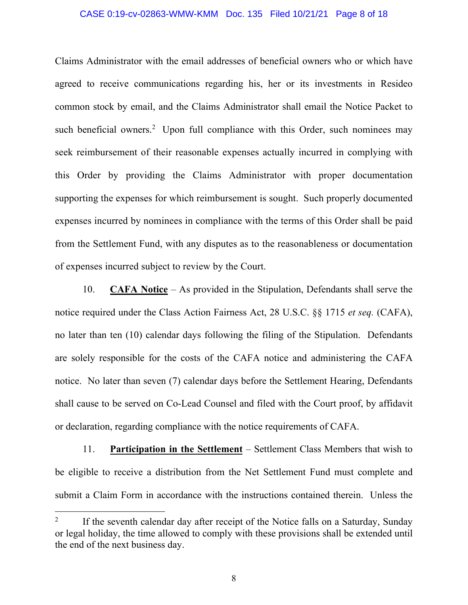#### CASE 0:19-cv-02863-WMW-KMM Doc. 135 Filed 10/21/21 Page 8 of 18

Claims Administrator with the email addresses of beneficial owners who or which have agreed to receive communications regarding his, her or its investments in Resideo common stock by email, and the Claims Administrator shall email the Notice Packet to such beneficial owners.<sup>2</sup> Upon full compliance with this Order, such nominees may seek reimbursement of their reasonable expenses actually incurred in complying with this Order by providing the Claims Administrator with proper documentation supporting the expenses for which reimbursement is sought. Such properly documented expenses incurred by nominees in compliance with the terms of this Order shall be paid from the Settlement Fund, with any disputes as to the reasonableness or documentation of expenses incurred subject to review by the Court.

10. **CAFA Notice** – As provided in the Stipulation, Defendants shall serve the notice required under the Class Action Fairness Act, 28 U.S.C. §§ 1715 *et seq.* (CAFA), no later than ten (10) calendar days following the filing of the Stipulation. Defendants are solely responsible for the costs of the CAFA notice and administering the CAFA notice. No later than seven (7) calendar days before the Settlement Hearing, Defendants shall cause to be served on Co-Lead Counsel and filed with the Court proof, by affidavit or declaration, regarding compliance with the notice requirements of CAFA.

11. **Participation in the Settlement** – Settlement Class Members that wish to be eligible to receive a distribution from the Net Settlement Fund must complete and submit a Claim Form in accordance with the instructions contained therein. Unless the

<sup>2</sup> If the seventh calendar day after receipt of the Notice falls on a Saturday, Sunday or legal holiday, the time allowed to comply with these provisions shall be extended until the end of the next business day.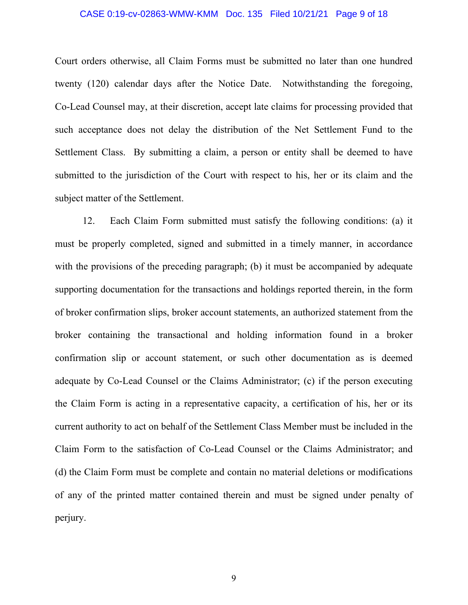#### CASE 0:19-cv-02863-WMW-KMM Doc. 135 Filed 10/21/21 Page 9 of 18

Court orders otherwise, all Claim Forms must be submitted no later than one hundred twenty (120) calendar days after the Notice Date. Notwithstanding the foregoing, Co-Lead Counsel may, at their discretion, accept late claims for processing provided that such acceptance does not delay the distribution of the Net Settlement Fund to the Settlement Class. By submitting a claim, a person or entity shall be deemed to have submitted to the jurisdiction of the Court with respect to his, her or its claim and the subject matter of the Settlement.

12. Each Claim Form submitted must satisfy the following conditions: (a) it must be properly completed, signed and submitted in a timely manner, in accordance with the provisions of the preceding paragraph; (b) it must be accompanied by adequate supporting documentation for the transactions and holdings reported therein, in the form of broker confirmation slips, broker account statements, an authorized statement from the broker containing the transactional and holding information found in a broker confirmation slip or account statement, or such other documentation as is deemed adequate by Co-Lead Counsel or the Claims Administrator; (c) if the person executing the Claim Form is acting in a representative capacity, a certification of his, her or its current authority to act on behalf of the Settlement Class Member must be included in the Claim Form to the satisfaction of Co-Lead Counsel or the Claims Administrator; and (d) the Claim Form must be complete and contain no material deletions or modifications of any of the printed matter contained therein and must be signed under penalty of perjury.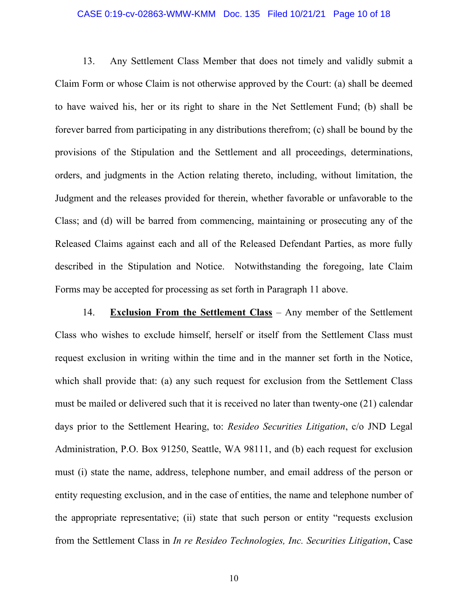#### CASE 0:19-cv-02863-WMW-KMM Doc. 135 Filed 10/21/21 Page 10 of 18

13. Any Settlement Class Member that does not timely and validly submit a Claim Form or whose Claim is not otherwise approved by the Court: (a) shall be deemed to have waived his, her or its right to share in the Net Settlement Fund; (b) shall be forever barred from participating in any distributions therefrom; (c) shall be bound by the provisions of the Stipulation and the Settlement and all proceedings, determinations, orders, and judgments in the Action relating thereto, including, without limitation, the Judgment and the releases provided for therein, whether favorable or unfavorable to the Class; and (d) will be barred from commencing, maintaining or prosecuting any of the Released Claims against each and all of the Released Defendant Parties, as more fully described in the Stipulation and Notice. Notwithstanding the foregoing, late Claim Forms may be accepted for processing as set forth in Paragraph 11 above.

14. **Exclusion From the Settlement Class** – Any member of the Settlement Class who wishes to exclude himself, herself or itself from the Settlement Class must request exclusion in writing within the time and in the manner set forth in the Notice, which shall provide that: (a) any such request for exclusion from the Settlement Class must be mailed or delivered such that it is received no later than twenty-one (21) calendar days prior to the Settlement Hearing, to: *Resideo Securities Litigation*, c/o JND Legal Administration, P.O. Box 91250, Seattle, WA 98111, and (b) each request for exclusion must (i) state the name, address, telephone number, and email address of the person or entity requesting exclusion, and in the case of entities, the name and telephone number of the appropriate representative; (ii) state that such person or entity "requests exclusion from the Settlement Class in *In re Resideo Technologies, Inc. Securities Litigation*, Case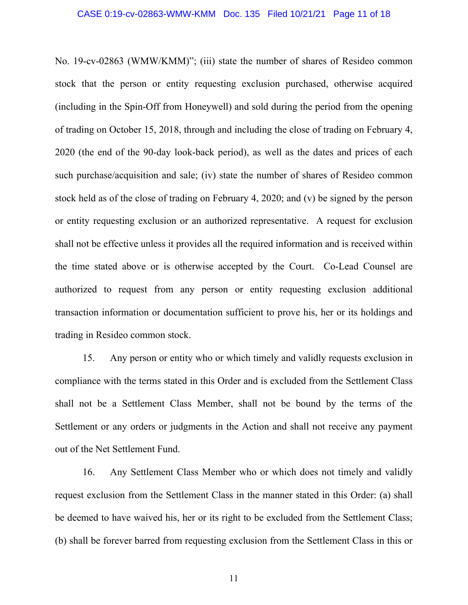No. 19-cv-02863 (WMW/KMM)"; (iii) state the number of shares of Resideo common stock that the person or entity requesting exclusion purchased, otherwise acquired (including in the Spin-Off from Honeywell) and sold during the period from the opening of trading on October 15, 2018, through and including the close of trading on February 4, 2020 (the end of the 90-day look-back period), as well as the dates and prices of each such purchase/acquisition and sale; (iv) state the number of shares of Resideo common stock held as of the close of trading on February 4, 2020; and (v) be signed by the person or entity requesting exclusion or an authorized representative. A request for exclusion shall not be effective unless it provides all the required information and is received within the time stated above or is otherwise accepted by the Court. Co-Lead Counsel are authorized to request from any person or entity requesting exclusion additional transaction information or documentation sufficient to prove his, her or its holdings and trading in Resideo common stock.

15. Any person or entity who or which timely and validly requests exclusion in compliance with the terms stated in this Order and is excluded from the Settlement Class shall not be a Settlement Class Member, shall not be bound by the terms of the Settlement or any orders or judgments in the Action and shall not receive any payment out of the Net Settlement Fund.

16. Any Settlement Class Member who or which does not timely and validly request exclusion from the Settlement Class in the manner stated in this Order: (a) shall be deemed to have waived his, her or its right to be excluded from the Settlement Class; (b) shall be forever barred from requesting exclusion from the Settlement Class in this or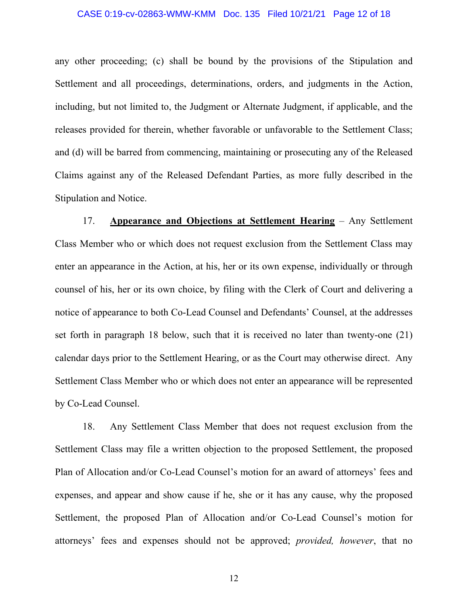#### CASE 0:19-cv-02863-WMW-KMM Doc. 135 Filed 10/21/21 Page 12 of 18

any other proceeding; (c) shall be bound by the provisions of the Stipulation and Settlement and all proceedings, determinations, orders, and judgments in the Action, including, but not limited to, the Judgment or Alternate Judgment, if applicable, and the releases provided for therein, whether favorable or unfavorable to the Settlement Class; and (d) will be barred from commencing, maintaining or prosecuting any of the Released Claims against any of the Released Defendant Parties, as more fully described in the Stipulation and Notice.

17. **Appearance and Objections at Settlement Hearing** – Any Settlement Class Member who or which does not request exclusion from the Settlement Class may enter an appearance in the Action, at his, her or its own expense, individually or through counsel of his, her or its own choice, by filing with the Clerk of Court and delivering a notice of appearance to both Co-Lead Counsel and Defendants' Counsel, at the addresses set forth in paragraph 18 below, such that it is received no later than twenty-one (21) calendar days prior to the Settlement Hearing, or as the Court may otherwise direct. Any Settlement Class Member who or which does not enter an appearance will be represented by Co-Lead Counsel.

18. Any Settlement Class Member that does not request exclusion from the Settlement Class may file a written objection to the proposed Settlement, the proposed Plan of Allocation and/or Co-Lead Counsel's motion for an award of attorneys' fees and expenses, and appear and show cause if he, she or it has any cause, why the proposed Settlement, the proposed Plan of Allocation and/or Co-Lead Counsel's motion for attorneys' fees and expenses should not be approved; *provided, however*, that no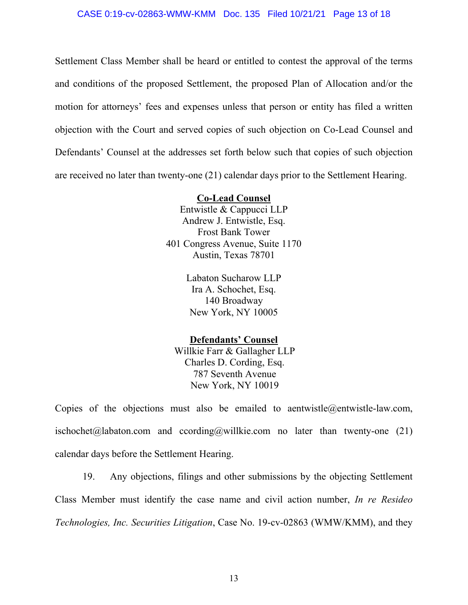Settlement Class Member shall be heard or entitled to contest the approval of the terms and conditions of the proposed Settlement, the proposed Plan of Allocation and/or the motion for attorneys' fees and expenses unless that person or entity has filed a written objection with the Court and served copies of such objection on Co-Lead Counsel and Defendants' Counsel at the addresses set forth below such that copies of such objection are received no later than twenty-one (21) calendar days prior to the Settlement Hearing.

## **Co-Lead Counsel**

Entwistle & Cappucci LLP Andrew J. Entwistle, Esq. Frost Bank Tower 401 Congress Avenue, Suite 1170 Austin, Texas 78701

> Labaton Sucharow LLP Ira A. Schochet, Esq. 140 Broadway New York, NY 10005

## **Defendants' Counsel**

Willkie Farr & Gallagher LLP Charles D. Cording, Esq. 787 Seventh Avenue New York, NY 10019

Copies of the objections must also be emailed to aentwistle@entwistle-law.com, ischochet@labaton.com and ccording@willkie.com no later than twenty-one (21) calendar days before the Settlement Hearing.

19. Any objections, filings and other submissions by the objecting Settlement Class Member must identify the case name and civil action number, *In re Resideo Technologies, Inc. Securities Litigation*, Case No. 19-cv-02863 (WMW/KMM), and they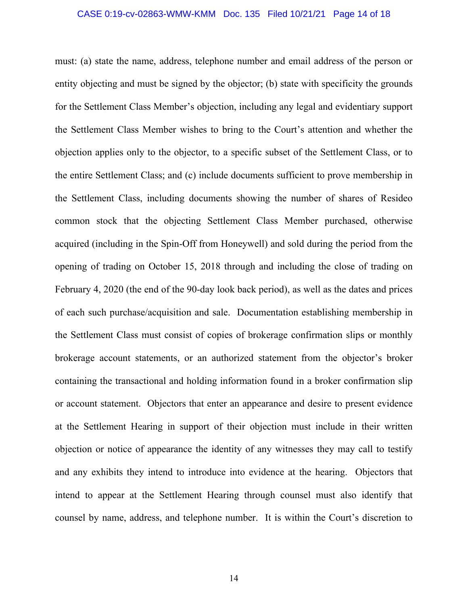#### CASE 0:19-cv-02863-WMW-KMM Doc. 135 Filed 10/21/21 Page 14 of 18

must: (a) state the name, address, telephone number and email address of the person or entity objecting and must be signed by the objector; (b) state with specificity the grounds for the Settlement Class Member's objection, including any legal and evidentiary support the Settlement Class Member wishes to bring to the Court's attention and whether the objection applies only to the objector, to a specific subset of the Settlement Class, or to the entire Settlement Class; and (c) include documents sufficient to prove membership in the Settlement Class, including documents showing the number of shares of Resideo common stock that the objecting Settlement Class Member purchased, otherwise acquired (including in the Spin-Off from Honeywell) and sold during the period from the opening of trading on October 15, 2018 through and including the close of trading on February 4, 2020 (the end of the 90-day look back period), as well as the dates and prices of each such purchase/acquisition and sale. Documentation establishing membership in the Settlement Class must consist of copies of brokerage confirmation slips or monthly brokerage account statements, or an authorized statement from the objector's broker containing the transactional and holding information found in a broker confirmation slip or account statement. Objectors that enter an appearance and desire to present evidence at the Settlement Hearing in support of their objection must include in their written objection or notice of appearance the identity of any witnesses they may call to testify and any exhibits they intend to introduce into evidence at the hearing. Objectors that intend to appear at the Settlement Hearing through counsel must also identify that counsel by name, address, and telephone number. It is within the Court's discretion to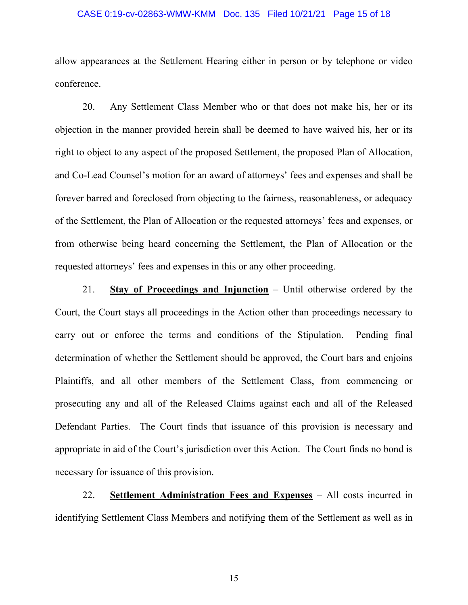#### CASE 0:19-cv-02863-WMW-KMM Doc. 135 Filed 10/21/21 Page 15 of 18

allow appearances at the Settlement Hearing either in person or by telephone or video conference.

20. Any Settlement Class Member who or that does not make his, her or its objection in the manner provided herein shall be deemed to have waived his, her or its right to object to any aspect of the proposed Settlement, the proposed Plan of Allocation, and Co-Lead Counsel's motion for an award of attorneys' fees and expenses and shall be forever barred and foreclosed from objecting to the fairness, reasonableness, or adequacy of the Settlement, the Plan of Allocation or the requested attorneys' fees and expenses, or from otherwise being heard concerning the Settlement, the Plan of Allocation or the requested attorneys' fees and expenses in this or any other proceeding.

21. **Stay of Proceedings and Injunction** – Until otherwise ordered by the Court, the Court stays all proceedings in the Action other than proceedings necessary to carry out or enforce the terms and conditions of the Stipulation. Pending final determination of whether the Settlement should be approved, the Court bars and enjoins Plaintiffs, and all other members of the Settlement Class, from commencing or prosecuting any and all of the Released Claims against each and all of the Released Defendant Parties. The Court finds that issuance of this provision is necessary and appropriate in aid of the Court's jurisdiction over this Action. The Court finds no bond is necessary for issuance of this provision.

22. **Settlement Administration Fees and Expenses** – All costs incurred in identifying Settlement Class Members and notifying them of the Settlement as well as in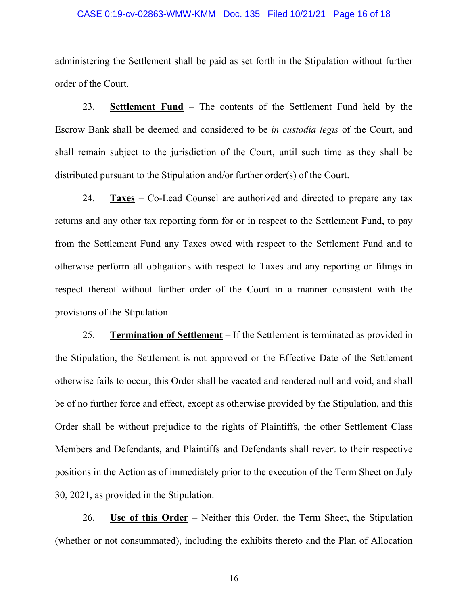#### CASE 0:19-cv-02863-WMW-KMM Doc. 135 Filed 10/21/21 Page 16 of 18

administering the Settlement shall be paid as set forth in the Stipulation without further order of the Court.

23. **Settlement Fund** – The contents of the Settlement Fund held by the Escrow Bank shall be deemed and considered to be *in custodia legis* of the Court, and shall remain subject to the jurisdiction of the Court, until such time as they shall be distributed pursuant to the Stipulation and/or further order(s) of the Court.

24. **Taxes** – Co-Lead Counsel are authorized and directed to prepare any tax returns and any other tax reporting form for or in respect to the Settlement Fund, to pay from the Settlement Fund any Taxes owed with respect to the Settlement Fund and to otherwise perform all obligations with respect to Taxes and any reporting or filings in respect thereof without further order of the Court in a manner consistent with the provisions of the Stipulation.

25. **Termination of Settlement** – If the Settlement is terminated as provided in the Stipulation, the Settlement is not approved or the Effective Date of the Settlement otherwise fails to occur, this Order shall be vacated and rendered null and void, and shall be of no further force and effect, except as otherwise provided by the Stipulation, and this Order shall be without prejudice to the rights of Plaintiffs, the other Settlement Class Members and Defendants, and Plaintiffs and Defendants shall revert to their respective positions in the Action as of immediately prior to the execution of the Term Sheet on July 30, 2021, as provided in the Stipulation.

26. **Use of this Order** – Neither this Order, the Term Sheet, the Stipulation (whether or not consummated), including the exhibits thereto and the Plan of Allocation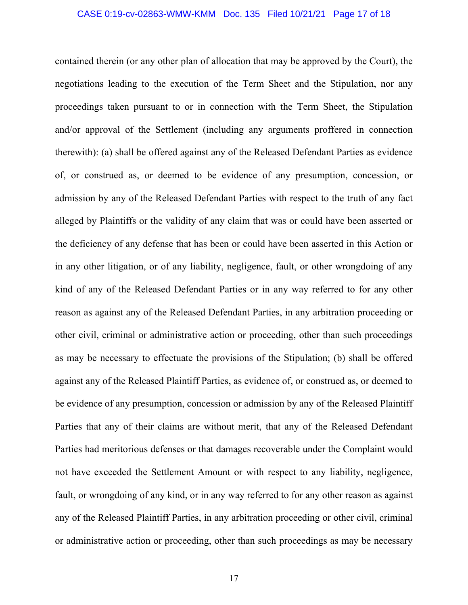#### CASE 0:19-cv-02863-WMW-KMM Doc. 135 Filed 10/21/21 Page 17 of 18

contained therein (or any other plan of allocation that may be approved by the Court), the negotiations leading to the execution of the Term Sheet and the Stipulation, nor any proceedings taken pursuant to or in connection with the Term Sheet, the Stipulation and/or approval of the Settlement (including any arguments proffered in connection therewith): (a) shall be offered against any of the Released Defendant Parties as evidence of, or construed as, or deemed to be evidence of any presumption, concession, or admission by any of the Released Defendant Parties with respect to the truth of any fact alleged by Plaintiffs or the validity of any claim that was or could have been asserted or the deficiency of any defense that has been or could have been asserted in this Action or in any other litigation, or of any liability, negligence, fault, or other wrongdoing of any kind of any of the Released Defendant Parties or in any way referred to for any other reason as against any of the Released Defendant Parties, in any arbitration proceeding or other civil, criminal or administrative action or proceeding, other than such proceedings as may be necessary to effectuate the provisions of the Stipulation; (b) shall be offered against any of the Released Plaintiff Parties, as evidence of, or construed as, or deemed to be evidence of any presumption, concession or admission by any of the Released Plaintiff Parties that any of their claims are without merit, that any of the Released Defendant Parties had meritorious defenses or that damages recoverable under the Complaint would not have exceeded the Settlement Amount or with respect to any liability, negligence, fault, or wrongdoing of any kind, or in any way referred to for any other reason as against any of the Released Plaintiff Parties, in any arbitration proceeding or other civil, criminal or administrative action or proceeding, other than such proceedings as may be necessary